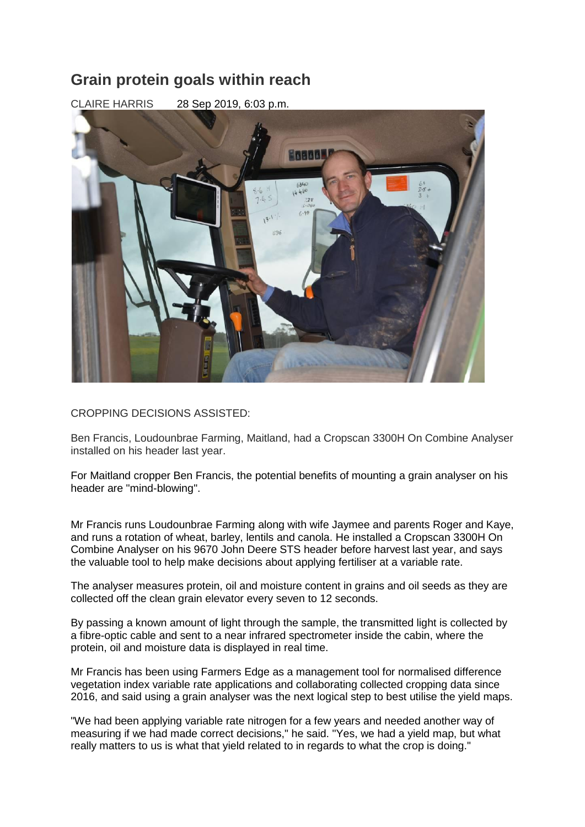## **Grain protein goals within reach**

CLAIRE HARRIS 28 Sep 2019, 6:03 p.m.



## CROPPING DECISIONS ASSISTED:

Ben Francis, Loudounbrae Farming, Maitland, had a Cropscan 3300H On Combine Analyser installed on his header last year.

For Maitland cropper Ben Francis, the potential benefits of mounting a grain analyser on his header are "mind-blowing".

Mr Francis runs Loudounbrae Farming along with wife Jaymee and parents Roger and Kaye, and runs a rotation of wheat, barley, lentils and canola. He installed a Cropscan 3300H On Combine Analyser on his 9670 John Deere STS header before harvest last year, and says the valuable tool to help make decisions about applying fertiliser at a variable rate.

The analyser measures protein, oil and moisture content in grains and oil seeds as they are collected off the clean grain elevator every seven to 12 seconds.

By passing a known amount of light through the sample, the transmitted light is collected by a fibre-optic cable and sent to a near infrared spectrometer inside the cabin, where the protein, oil and moisture data is displayed in real time.

Mr Francis has been using Farmers Edge as a management tool for normalised difference vegetation index variable rate applications and collaborating collected cropping data since 2016, and said using a grain analyser was the next logical step to best utilise the yield maps.

"We had been applying variable rate nitrogen for a few years and needed another way of measuring if we had made correct decisions," he said. "Yes, we had a yield map, but what really matters to us is what that yield related to in regards to what the crop is doing."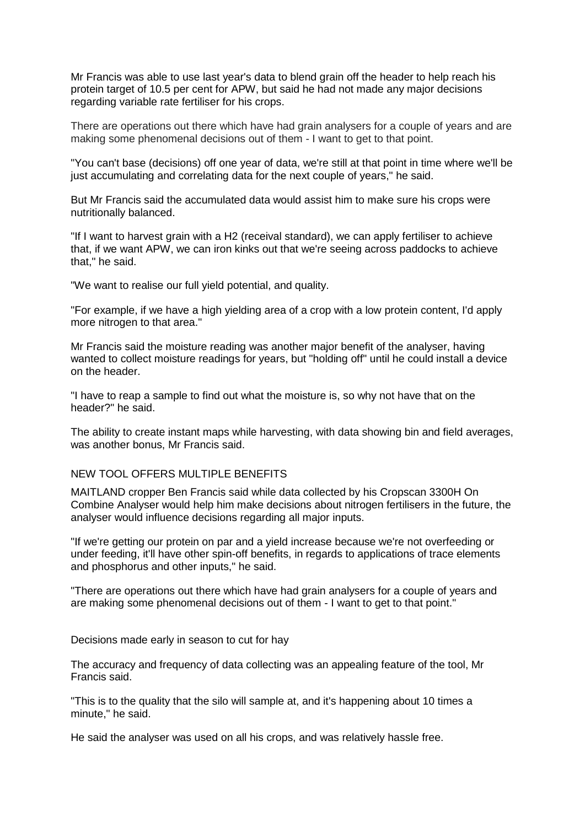Mr Francis was able to use last year's data to blend grain off the header to help reach his protein target of 10.5 per cent for APW, but said he had not made any major decisions regarding variable rate fertiliser for his crops.

There are operations out there which have had grain analysers for a couple of years and are making some phenomenal decisions out of them - I want to get to that point.

"You can't base (decisions) off one year of data, we're still at that point in time where we'll be just accumulating and correlating data for the next couple of years," he said.

But Mr Francis said the accumulated data would assist him to make sure his crops were nutritionally balanced.

"If I want to harvest grain with a H2 (receival standard), we can apply fertiliser to achieve that, if we want APW, we can iron kinks out that we're seeing across paddocks to achieve that," he said.

"We want to realise our full yield potential, and quality.

"For example, if we have a high yielding area of a crop with a low protein content, I'd apply more nitrogen to that area."

Mr Francis said the moisture reading was another major benefit of the analyser, having wanted to collect moisture readings for years, but "holding off" until he could install a device on the header.

"I have to reap a sample to find out what the moisture is, so why not have that on the header?" he said.

The ability to create instant maps while harvesting, with data showing bin and field averages, was another bonus, Mr Francis said.

## NEW TOOL OFFERS MULTIPLE BENEFITS

MAITLAND cropper Ben Francis said while data collected by his Cropscan 3300H On Combine Analyser would help him make decisions about nitrogen fertilisers in the future, the analyser would influence decisions regarding all major inputs.

"If we're getting our protein on par and a yield increase because we're not overfeeding or under feeding, it'll have other spin-off benefits, in regards to applications of trace elements and phosphorus and other inputs," he said.

"There are operations out there which have had grain analysers for a couple of years and are making some phenomenal decisions out of them - I want to get to that point."

[Decisions made early in season to cut for hay](https://www.stockjournal.com.au/story/6406852/decisions-made-early-in-season-to-cut-for-hay/)

The accuracy and frequency of data collecting was an appealing feature of the tool, Mr Francis said.

"This is to the quality that the silo will sample at, and it's happening about 10 times a minute," he said.

He said the analyser was used on all his crops, and was relatively hassle free.